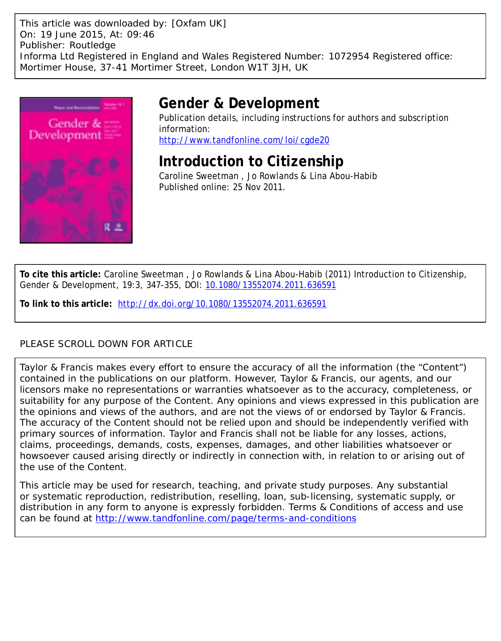This article was downloaded by: [Oxfam UK] On: 19 June 2015, At: 09:46 Publisher: Routledge Informa Ltd Registered in England and Wales Registered Number: 1072954 Registered office: Mortimer House, 37-41 Mortimer Street, London W1T 3JH, UK



# **Gender & Development**

Publication details, including instructions for authors and subscription information: <http://www.tandfonline.com/loi/cgde20>

**Introduction to Citizenship**

Caroline Sweetman , Jo Rowlands & Lina Abou-Habib Published online: 25 Nov 2011.

**To cite this article:** Caroline Sweetman , Jo Rowlands & Lina Abou-Habib (2011) Introduction to Citizenship, Gender & Development, 19:3, 347-355, DOI: [10.1080/13552074.2011.636591](http://www.tandfonline.com/action/showCitFormats?doi=10.1080/13552074.2011.636591)

**To link to this article:** <http://dx.doi.org/10.1080/13552074.2011.636591>

## PLEASE SCROLL DOWN FOR ARTICLE

Taylor & Francis makes every effort to ensure the accuracy of all the information (the "Content") contained in the publications on our platform. However, Taylor & Francis, our agents, and our licensors make no representations or warranties whatsoever as to the accuracy, completeness, or suitability for any purpose of the Content. Any opinions and views expressed in this publication are the opinions and views of the authors, and are not the views of or endorsed by Taylor & Francis. The accuracy of the Content should not be relied upon and should be independently verified with primary sources of information. Taylor and Francis shall not be liable for any losses, actions, claims, proceedings, demands, costs, expenses, damages, and other liabilities whatsoever or howsoever caused arising directly or indirectly in connection with, in relation to or arising out of the use of the Content.

This article may be used for research, teaching, and private study purposes. Any substantial or systematic reproduction, redistribution, reselling, loan, sub-licensing, systematic supply, or distribution in any form to anyone is expressly forbidden. Terms & Conditions of access and use can be found at <http://www.tandfonline.com/page/terms-and-conditions>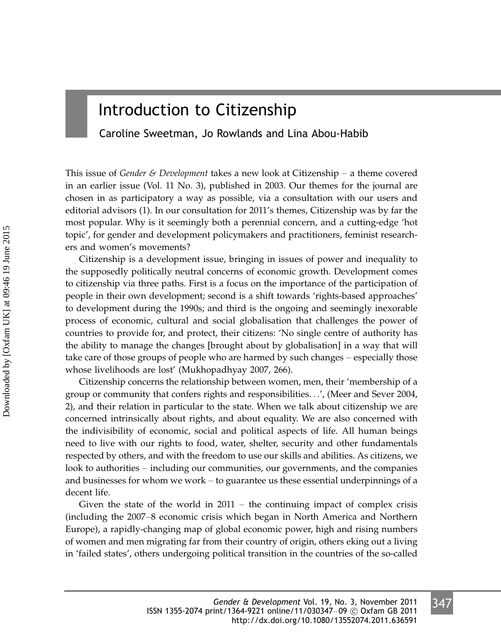## Introduction to Citizenship

Caroline Sweetman, Jo Rowlands and Lina Abou-Habib

This issue of *Gender & Development* takes a new look at Citizenship – a theme covered in an earlier issue (Vol. 11 No. 3), published in 2003. Our themes for the journal are chosen in as participatory a way as possible, via a consultation with our users and editorial advisors (1). In our consultation for 2011's themes, Citizenship was by far the most popular. Why is it seemingly both a perennial concern, and a cutting-edge 'hot topic', for gender and development policymakers and practitioners, feminist researchers and women's movements?

Citizenship is a development issue, bringing in issues of power and inequality to the supposedly politically neutral concerns of economic growth. Development comes to citizenship via three paths. First is a focus on the importance of the participation of people in their own development; second is a shift towards 'rights-based approaches' to development during the 1990s; and third is the ongoing and seemingly inexorable process of economic, cultural and social globalisation that challenges the power of countries to provide for, and protect, their citizens: 'No single centre of authority has the ability to manage the changes [brought about by globalisation] in a way that will take care of those groups of people who are harmed by such changes – especially those whose livelihoods are lost' (Mukhopadhyay 2007, 266).

Citizenship concerns the relationship between women, men, their 'membership of a group or community that confers rights and responsibilities...', (Meer and Sever 2004, 2), and their relation in particular to the state. When we talk about citizenship we are concerned intrinsically about rights, and about equality. We are also concerned with the indivisibility of economic, social and political aspects of life. All human beings need to live with our rights to food, water, shelter, security and other fundamentals respected by others, and with the freedom to use our skills and abilities. As citizens, we look to authorities – including our communities, our governments, and the companies and businesses for whom we work  $-$  to guarantee us these essential underpinnings of a decent life.

Given the state of the world in  $2011 -$  the continuing impact of complex crisis (including the 2007/8 economic crisis which began in North America and Northern Europe), a rapidly-changing map of global economic power, high and rising numbers of women and men migrating far from their country of origin, others eking out a living in 'failed states', others undergoing political transition in the countries of the so-called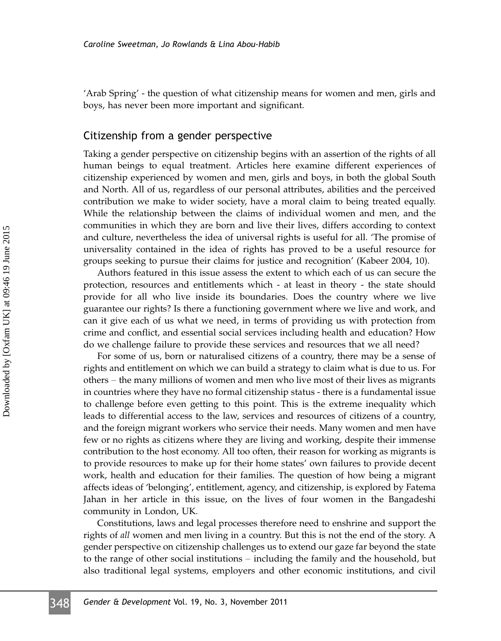'Arab Spring' - the question of what citizenship means for women and men, girls and boys, has never been more important and significant.

#### Citizenship from a gender perspective

Taking a gender perspective on citizenship begins with an assertion of the rights of all human beings to equal treatment. Articles here examine different experiences of citizenship experienced by women and men, girls and boys, in both the global South and North. All of us, regardless of our personal attributes, abilities and the perceived contribution we make to wider society, have a moral claim to being treated equally. While the relationship between the claims of individual women and men, and the communities in which they are born and live their lives, differs according to context and culture, nevertheless the idea of universal rights is useful for all. 'The promise of universality contained in the idea of rights has proved to be a useful resource for groups seeking to pursue their claims for justice and recognition' (Kabeer 2004, 10).

Authors featured in this issue assess the extent to which each of us can secure the protection, resources and entitlements which - at least in theory - the state should provide for all who live inside its boundaries. Does the country where we live guarantee our rights? Is there a functioning government where we live and work, and can it give each of us what we need, in terms of providing us with protection from crime and conflict, and essential social services including health and education? How do we challenge failure to provide these services and resources that we all need?

For some of us, born or naturalised citizens of a country, there may be a sense of rights and entitlement on which we can build a strategy to claim what is due to us. For others – the many millions of women and men who live most of their lives as migrants in countries where they have no formal citizenship status - there is a fundamental issue to challenge before even getting to this point. This is the extreme inequality which leads to differential access to the law, services and resources of citizens of a country, and the foreign migrant workers who service their needs. Many women and men have few or no rights as citizens where they are living and working, despite their immense contribution to the host economy. All too often, their reason for working as migrants is to provide resources to make up for their home states' own failures to provide decent work, health and education for their families. The question of how being a migrant affects ideas of 'belonging', entitlement, agency, and citizenship, is explored by Fatema Jahan in her article in this issue, on the lives of four women in the Bangadeshi community in London, UK.

Constitutions, laws and legal processes therefore need to enshrine and support the rights of all women and men living in a country. But this is not the end of the story. A gender perspective on citizenship challenges us to extend our gaze far beyond the state to the range of other social institutions - including the family and the household, but also traditional legal systems, employers and other economic institutions, and civil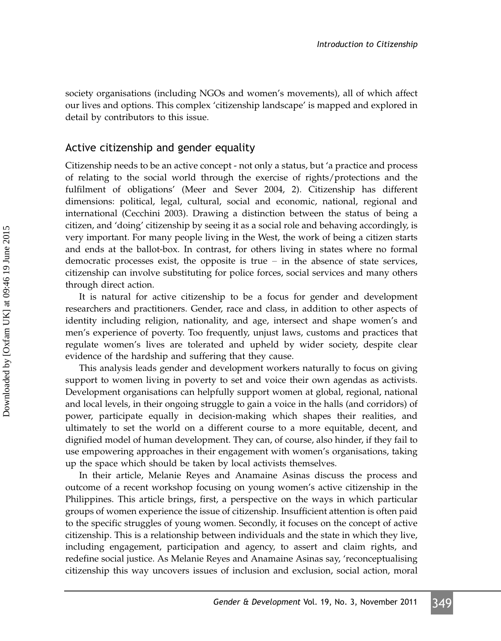society organisations (including NGOs and women's movements), all of which affect our lives and options. This complex 'citizenship landscape' is mapped and explored in detail by contributors to this issue.

## Active citizenship and gender equality

Citizenship needs to be an active concept - not only a status, but 'a practice and process of relating to the social world through the exercise of rights/protections and the fulfilment of obligations' (Meer and Sever 2004, 2). Citizenship has different dimensions: political, legal, cultural, social and economic, national, regional and international (Cecchini 2003). Drawing a distinction between the status of being a citizen, and 'doing' citizenship by seeing it as a social role and behaving accordingly, is very important. For many people living in the West, the work of being a citizen starts and ends at the ballot-box. In contrast, for others living in states where no formal democratic processes exist, the opposite is true  $-$  in the absence of state services, citizenship can involve substituting for police forces, social services and many others through direct action.

It is natural for active citizenship to be a focus for gender and development researchers and practitioners. Gender, race and class, in addition to other aspects of identity including religion, nationality, and age, intersect and shape women's and men's experience of poverty. Too frequently, unjust laws, customs and practices that regulate women's lives are tolerated and upheld by wider society, despite clear evidence of the hardship and suffering that they cause.

This analysis leads gender and development workers naturally to focus on giving support to women living in poverty to set and voice their own agendas as activists. Development organisations can helpfully support women at global, regional, national and local levels, in their ongoing struggle to gain a voice in the halls (and corridors) of power, participate equally in decision-making which shapes their realities, and ultimately to set the world on a different course to a more equitable, decent, and dignified model of human development. They can, of course, also hinder, if they fail to use empowering approaches in their engagement with women's organisations, taking up the space which should be taken by local activists themselves.

In their article, Melanie Reyes and Anamaine Asinas discuss the process and outcome of a recent workshop focusing on young women's active citizenship in the Philippines. This article brings, first, a perspective on the ways in which particular groups of women experience the issue of citizenship. Insufficient attention is often paid to the specific struggles of young women. Secondly, it focuses on the concept of active citizenship. This is a relationship between individuals and the state in which they live, including engagement, participation and agency, to assert and claim rights, and redefine social justice. As Melanie Reyes and Anamaine Asinas say, 'reconceptualising citizenship this way uncovers issues of inclusion and exclusion, social action, moral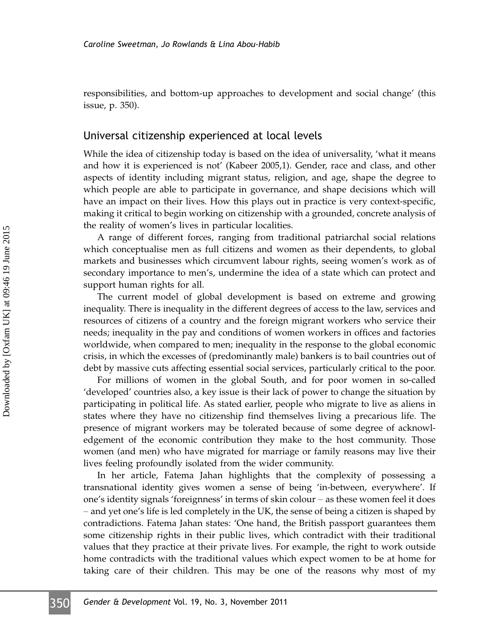responsibilities, and bottom-up approaches to development and social change' (this issue, p. 350).

#### Universal citizenship experienced at local levels

While the idea of citizenship today is based on the idea of universality, 'what it means and how it is experienced is not' (Kabeer 2005,1). Gender, race and class, and other aspects of identity including migrant status, religion, and age, shape the degree to which people are able to participate in governance, and shape decisions which will have an impact on their lives. How this plays out in practice is very context-specific, making it critical to begin working on citizenship with a grounded, concrete analysis of the reality of women's lives in particular localities.

A range of different forces, ranging from traditional patriarchal social relations which conceptualise men as full citizens and women as their dependents, to global markets and businesses which circumvent labour rights, seeing women's work as of secondary importance to men's, undermine the idea of a state which can protect and support human rights for all.

The current model of global development is based on extreme and growing inequality. There is inequality in the different degrees of access to the law, services and resources of citizens of a country and the foreign migrant workers who service their needs; inequality in the pay and conditions of women workers in offices and factories worldwide, when compared to men; inequality in the response to the global economic crisis, in which the excesses of (predominantly male) bankers is to bail countries out of debt by massive cuts affecting essential social services, particularly critical to the poor.

For millions of women in the global South, and for poor women in so-called 'developed' countries also, a key issue is their lack of power to change the situation by participating in political life. As stated earlier, people who migrate to live as aliens in states where they have no citizenship find themselves living a precarious life. The presence of migrant workers may be tolerated because of some degree of acknowledgement of the economic contribution they make to the host community. Those women (and men) who have migrated for marriage or family reasons may live their lives feeling profoundly isolated from the wider community.

In her article, Fatema Jahan highlights that the complexity of possessing a transnational identity gives women a sense of being 'in-between, everywhere'. If one's identity signals 'foreignness' in terms of skin colour  $-$  as these women feel it does – and yet one's life is led completely in the UK, the sense of being a citizen is shaped by contradictions. Fatema Jahan states: 'One hand, the British passport guarantees them some citizenship rights in their public lives, which contradict with their traditional values that they practice at their private lives. For example, the right to work outside home contradicts with the traditional values which expect women to be at home for taking care of their children. This may be one of the reasons why most of my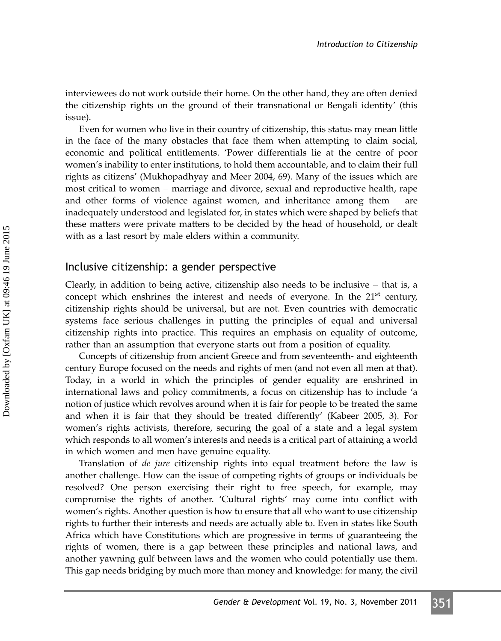interviewees do not work outside their home. On the other hand, they are often denied the citizenship rights on the ground of their transnational or Bengali identity' (this issue).

Even for women who live in their country of citizenship, this status may mean little in the face of the many obstacles that face them when attempting to claim social, economic and political entitlements. 'Power differentials lie at the centre of poor women's inability to enter institutions, to hold them accountable, and to claim their full rights as citizens' (Mukhopadhyay and Meer 2004, 69). Many of the issues which are most critical to women – marriage and divorce, sexual and reproductive health, rape and other forms of violence against women, and inheritance among them  $-$  are inadequately understood and legislated for, in states which were shaped by beliefs that these matters were private matters to be decided by the head of household, or dealt with as a last resort by male elders within a community.

#### Inclusive citizenship: a gender perspective

Clearly, in addition to being active, citizenship also needs to be inclusive  $-$  that is, a concept which enshrines the interest and needs of everyone. In the  $21<sup>st</sup>$  century, citizenship rights should be universal, but are not. Even countries with democratic systems face serious challenges in putting the principles of equal and universal citizenship rights into practice. This requires an emphasis on equality of outcome, rather than an assumption that everyone starts out from a position of equality.

Concepts of citizenship from ancient Greece and from seventeenth- and eighteenth century Europe focused on the needs and rights of men (and not even all men at that). Today, in a world in which the principles of gender equality are enshrined in international laws and policy commitments, a focus on citizenship has to include 'a notion of justice which revolves around when it is fair for people to be treated the same and when it is fair that they should be treated differently' (Kabeer 2005, 3). For women's rights activists, therefore, securing the goal of a state and a legal system which responds to all women's interests and needs is a critical part of attaining a world in which women and men have genuine equality.

Translation of de jure citizenship rights into equal treatment before the law is another challenge. How can the issue of competing rights of groups or individuals be resolved? One person exercising their right to free speech, for example, may compromise the rights of another. 'Cultural rights' may come into conflict with women's rights. Another question is how to ensure that all who want to use citizenship rights to further their interests and needs are actually able to. Even in states like South Africa which have Constitutions which are progressive in terms of guaranteeing the rights of women, there is a gap between these principles and national laws, and another yawning gulf between laws and the women who could potentially use them. This gap needs bridging by much more than money and knowledge: for many, the civil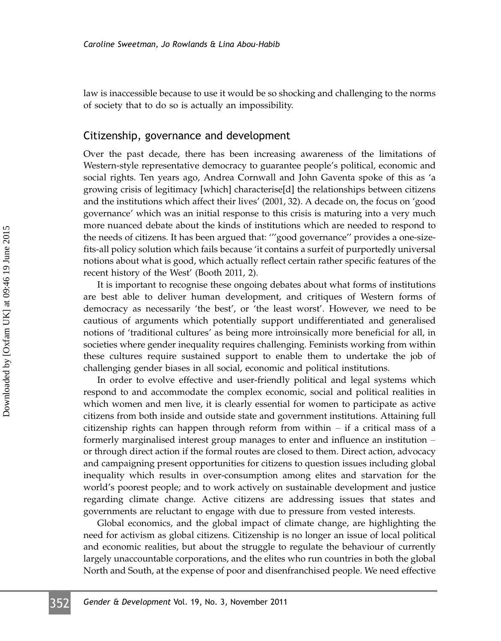law is inaccessible because to use it would be so shocking and challenging to the norms of society that to do so is actually an impossibility.

#### Citizenship, governance and development

Over the past decade, there has been increasing awareness of the limitations of Western-style representative democracy to guarantee people's political, economic and social rights. Ten years ago, Andrea Cornwall and John Gaventa spoke of this as 'a growing crisis of legitimacy [which] characterise[d] the relationships between citizens and the institutions which affect their lives' (2001, 32). A decade on, the focus on 'good governance' which was an initial response to this crisis is maturing into a very much more nuanced debate about the kinds of institutions which are needed to respond to the needs of citizens. It has been argued that: '''good governance'' provides a one-sizefits-all policy solution which fails because 'it contains a surfeit of purportedly universal notions about what is good, which actually reflect certain rather specific features of the recent history of the West' (Booth 2011, 2).

It is important to recognise these ongoing debates about what forms of institutions are best able to deliver human development, and critiques of Western forms of democracy as necessarily 'the best', or 'the least worst'. However, we need to be cautious of arguments which potentially support undifferentiated and generalised notions of 'traditional cultures' as being more introinsically more beneficial for all, in societies where gender inequality requires challenging. Feminists working from within these cultures require sustained support to enable them to undertake the job of challenging gender biases in all social, economic and political institutions.

In order to evolve effective and user-friendly political and legal systems which respond to and accommodate the complex economic, social and political realities in which women and men live, it is clearly essential for women to participate as active citizens from both inside and outside state and government institutions. Attaining full citizenship rights can happen through reform from within  $-$  if a critical mass of a formerly marginalised interest group manages to enter and influence an institution  $$ or through direct action if the formal routes are closed to them. Direct action, advocacy and campaigning present opportunities for citizens to question issues including global inequality which results in over-consumption among elites and starvation for the world's poorest people; and to work actively on sustainable development and justice regarding climate change. Active citizens are addressing issues that states and governments are reluctant to engage with due to pressure from vested interests.

Global economics, and the global impact of climate change, are highlighting the need for activism as global citizens. Citizenship is no longer an issue of local political and economic realities, but about the struggle to regulate the behaviour of currently largely unaccountable corporations, and the elites who run countries in both the global North and South, at the expense of poor and disenfranchised people. We need effective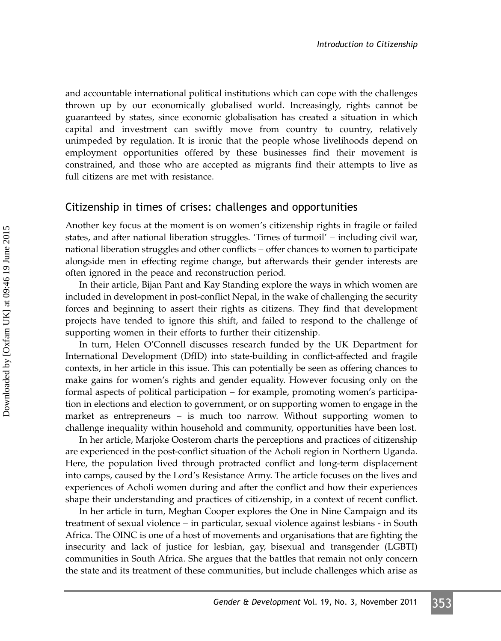and accountable international political institutions which can cope with the challenges thrown up by our economically globalised world. Increasingly, rights cannot be guaranteed by states, since economic globalisation has created a situation in which capital and investment can swiftly move from country to country, relatively unimpeded by regulation. It is ironic that the people whose livelihoods depend on employment opportunities offered by these businesses find their movement is constrained, and those who are accepted as migrants find their attempts to live as full citizens are met with resistance.

#### Citizenship in times of crises: challenges and opportunities

Another key focus at the moment is on women's citizenship rights in fragile or failed states, and after national liberation struggles. 'Times of turmoil' – including civil war, national liberation struggles and other conflicts – offer chances to women to participate alongside men in effecting regime change, but afterwards their gender interests are often ignored in the peace and reconstruction period.

In their article, Bijan Pant and Kay Standing explore the ways in which women are included in development in post-conflict Nepal, in the wake of challenging the security forces and beginning to assert their rights as citizens. They find that development projects have tended to ignore this shift, and failed to respond to the challenge of supporting women in their efforts to further their citizenship.

In turn, Helen O'Connell discusses research funded by the UK Department for International Development (DfID) into state-building in conflict-affected and fragile contexts, in her article in this issue. This can potentially be seen as offering chances to make gains for women's rights and gender equality. However focusing only on the formal aspects of political participation  $-$  for example, promoting women's participation in elections and election to government, or on supporting women to engage in the market as entrepreneurs  $-$  is much too narrow. Without supporting women to challenge inequality within household and community, opportunities have been lost.

In her article, Marjoke Oosterom charts the perceptions and practices of citizenship are experienced in the post-conflict situation of the Acholi region in Northern Uganda. Here, the population lived through protracted conflict and long-term displacement into camps, caused by the Lord's Resistance Army. The article focuses on the lives and experiences of Acholi women during and after the conflict and how their experiences shape their understanding and practices of citizenship, in a context of recent conflict.

In her article in turn, Meghan Cooper explores the One in Nine Campaign and its treatment of sexual violence – in particular, sexual violence against lesbians - in South Africa. The OINC is one of a host of movements and organisations that are fighting the insecurity and lack of justice for lesbian, gay, bisexual and transgender (LGBTI) communities in South Africa. She argues that the battles that remain not only concern the state and its treatment of these communities, but include challenges which arise as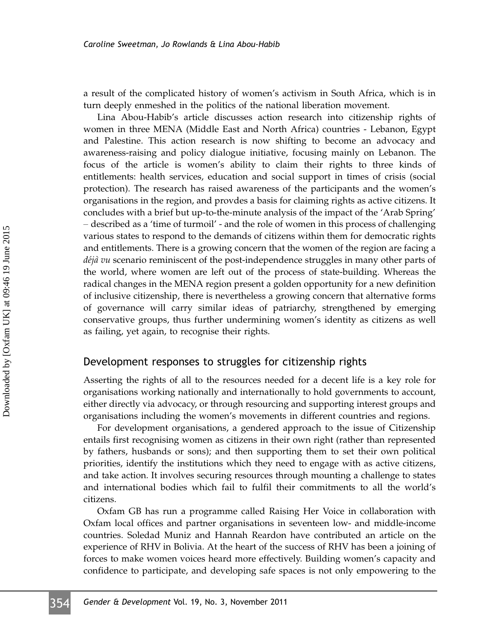a result of the complicated history of women's activism in South Africa, which is in turn deeply enmeshed in the politics of the national liberation movement.

Lina Abou-Habib's article discusses action research into citizenship rights of women in three MENA (Middle East and North Africa) countries - Lebanon, Egypt and Palestine. This action research is now shifting to become an advocacy and awareness-raising and policy dialogue initiative, focusing mainly on Lebanon. The focus of the article is women's ability to claim their rights to three kinds of entitlements: health services, education and social support in times of crisis (social protection). The research has raised awareness of the participants and the women's organisations in the region, and provdes a basis for claiming rights as active citizens. It concludes with a brief but up-to-the-minute analysis of the impact of the 'Arab Spring' - described as a 'time of turmoil' - and the role of women in this process of challenging various states to respond to the demands of citizens within them for democratic rights and entitlements. There is a growing concern that the women of the region are facing a  $d\acute{e}j\grave{a}$  vu scenario reminiscent of the post-independence struggles in many other parts of the world, where women are left out of the process of state-building. Whereas the radical changes in the MENA region present a golden opportunity for a new definition of inclusive citizenship, there is nevertheless a growing concern that alternative forms of governance will carry similar ideas of patriarchy, strengthened by emerging conservative groups, thus further undermining women's identity as citizens as well as failing, yet again, to recognise their rights.

#### Development responses to struggles for citizenship rights

Asserting the rights of all to the resources needed for a decent life is a key role for organisations working nationally and internationally to hold governments to account, either directly via advocacy, or through resourcing and supporting interest groups and organisations including the women's movements in different countries and regions.

For development organisations, a gendered approach to the issue of Citizenship entails first recognising women as citizens in their own right (rather than represented by fathers, husbands or sons); and then supporting them to set their own political priorities, identify the institutions which they need to engage with as active citizens, and take action. It involves securing resources through mounting a challenge to states and international bodies which fail to fulfil their commitments to all the world's citizens.

Oxfam GB has run a programme called Raising Her Voice in collaboration with Oxfam local offices and partner organisations in seventeen low- and middle-income countries. Soledad Muniz and Hannah Reardon have contributed an article on the experience of RHV in Bolivia. At the heart of the success of RHV has been a joining of forces to make women voices heard more effectively. Building women's capacity and confidence to participate, and developing safe spaces is not only empowering to the